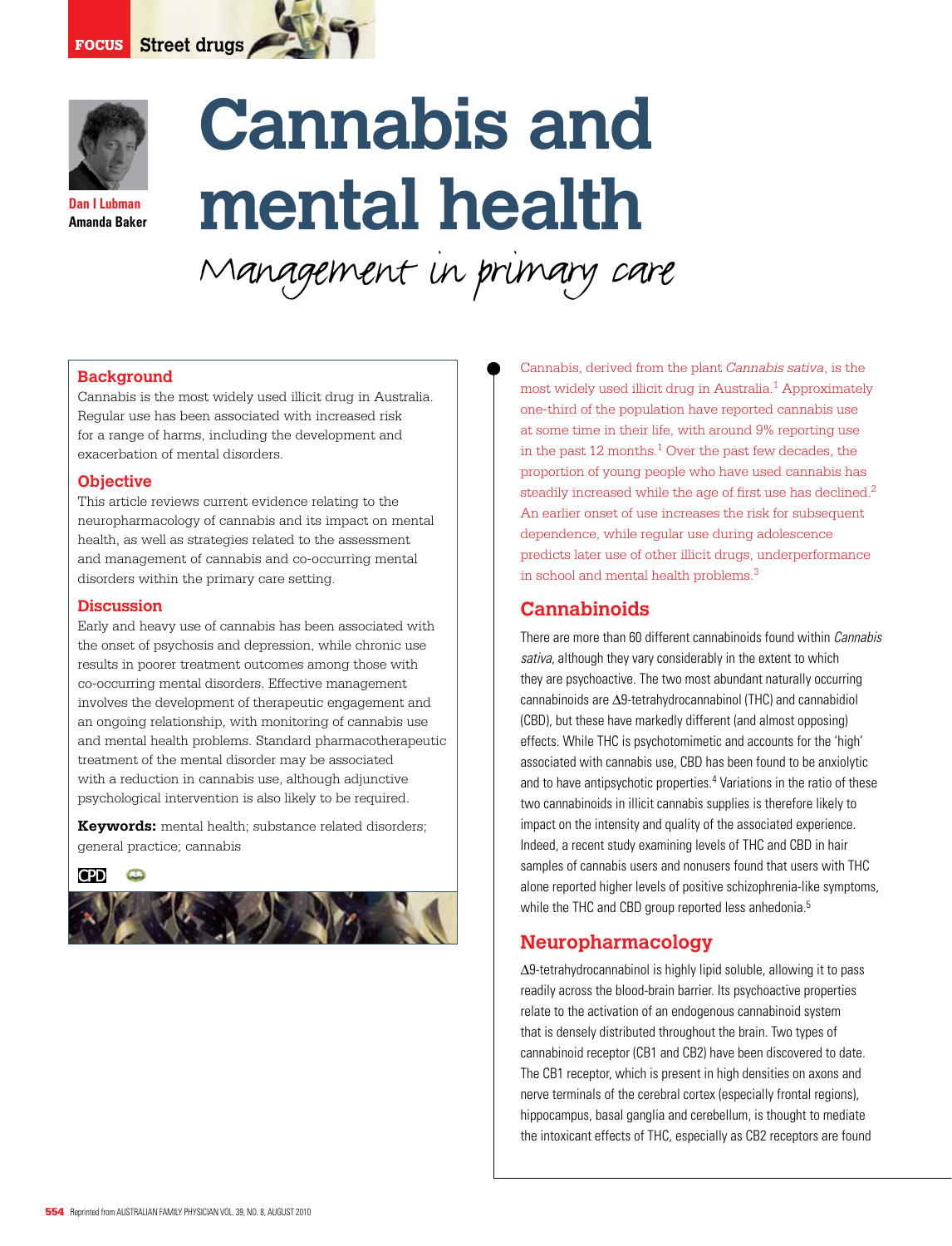

**Dan I Lubman Amanda Baker**

# **Cannabis and mental health**

Management in primary care

## **Background**

Cannabis is the most widely used illicit drug in Australia. Regular use has been associated with increased risk for a range of harms, including the development and exacerbation of mental disorders.

#### **Objective**

This article reviews current evidence relating to the neuropharmacology of cannabis and its impact on mental health, as well as strategies related to the assessment and management of cannabis and co-occurring mental disorders within the primary care setting.

#### **Discussion**

Early and heavy use of cannabis has been associated with the onset of psychosis and depression, while chronic use results in poorer treatment outcomes among those with co-occurring mental disorders. Effective management involves the development of therapeutic engagement and an ongoing relationship, with monitoring of cannabis use and mental health problems. Standard pharmacotherapeutic treatment of the mental disorder may be associated with a reduction in cannabis use, although adjunctive psychological intervention is also likely to be required.

**Keywords:** mental health; substance related disorders; general practice; cannabis



Cannabis, derived from the plant *Cannabis sativa*, is the most widely used illicit drug in Australia.<sup>1</sup> Approximately one-third of the population have reported cannabis use at some time in their life, with around 9% reporting use in the past 12 months.<sup>1</sup> Over the past few decades, the proportion of young people who have used cannabis has steadily increased while the age of first use has declined.<sup>2</sup> An earlier onset of use increases the risk for subsequent dependence, while regular use during adolescence predicts later use of other illicit drugs, underperformance in school and mental health problems.3

# **Cannabinoids**

There are more than 60 different cannabinoids found within Cannabis sativa, although they vary considerably in the extent to which they are psychoactive. The two most abundant naturally occurring cannabinoids are ∆9-tetrahydrocannabinol (THC) and cannabidiol (CBD), but these have markedly different (and almost opposing) effects. While THC is psychotomimetic and accounts for the 'high' associated with cannabis use, CBD has been found to be anxiolytic and to have antipsychotic properties.<sup>4</sup> Variations in the ratio of these two cannabinoids in illicit cannabis supplies is therefore likely to impact on the intensity and quality of the associated experience. Indeed, a recent study examining levels of THC and CBD in hair samples of cannabis users and nonusers found that users with THC alone reported higher levels of positive schizophrenia-like symptoms, while the THC and CBD group reported less anhedonia.<sup>5</sup>

# **Neuropharmacology**

∆9-tetrahydrocannabinol is highly lipid soluble, allowing it to pass readily across the blood-brain barrier. Its psychoactive properties relate to the activation of an endogenous cannabinoid system that is densely distributed throughout the brain. Two types of cannabinoid receptor (CB1 and CB2) have been discovered to date. The CB1 receptor, which is present in high densities on axons and nerve terminals of the cerebral cortex (especially frontal regions), hippocampus, basal ganglia and cerebellum, is thought to mediate the intoxicant effects of THC, especially as CB2 receptors are found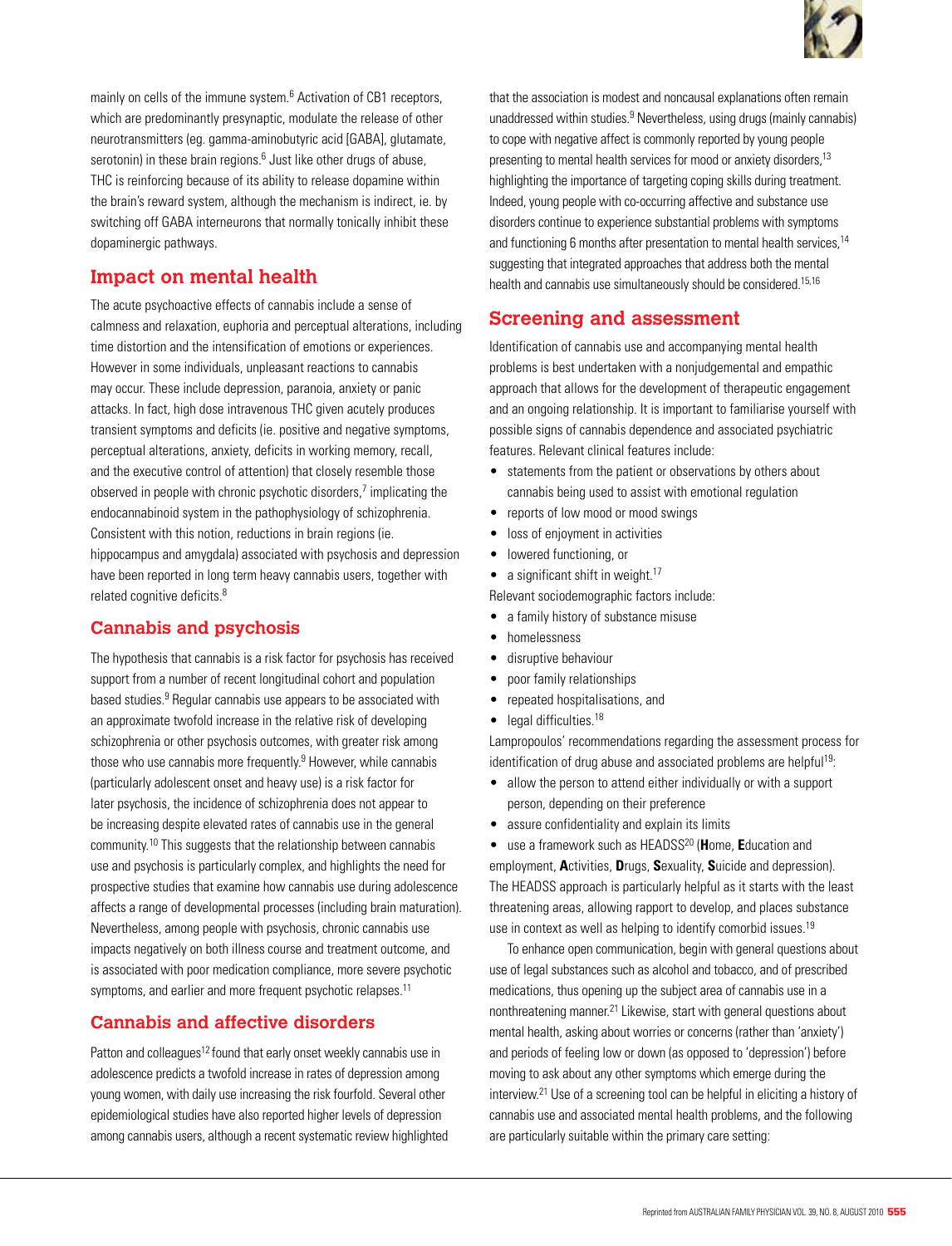

mainly on cells of the immune system.<sup>6</sup> Activation of CB1 receptors, which are predominantly presynaptic, modulate the release of other neurotransmitters (eg. gamma-aminobutyric acid [GABA], glutamate, serotonin) in these brain regions.<sup>6</sup> Just like other drugs of abuse, THC is reinforcing because of its ability to release dopamine within the brain's reward system, although the mechanism is indirect, ie. by switching off GABA interneurons that normally tonically inhibit these dopaminergic pathways.

# **Impact on mental health**

The acute psychoactive effects of cannabis include a sense of calmness and relaxation, euphoria and perceptual alterations, including time distortion and the intensification of emotions or experiences. However in some individuals, unpleasant reactions to cannabis may occur. These include depression, paranoia, anxiety or panic attacks. In fact, high dose intravenous THC given acutely produces transient symptoms and deficits (ie. positive and negative symptoms, perceptual alterations, anxiety, deficits in working memory, recall, and the executive control of attention) that closely resemble those observed in people with chronic psychotic disorders,<sup>7</sup> implicating the endocannabinoid system in the pathophysiology of schizophrenia. Consistent with this notion, reductions in brain regions (ie. hippocampus and amygdala) associated with psychosis and depression have been reported in long term heavy cannabis users, together with related cognitive deficits.<sup>8</sup>

# **Cannabis and psychosis**

The hypothesis that cannabis is a risk factor for psychosis has received support from a number of recent longitudinal cohort and population based studies.<sup>9</sup> Regular cannabis use appears to be associated with an approximate twofold increase in the relative risk of developing schizophrenia or other psychosis outcomes, with greater risk among those who use cannabis more frequently.<sup>9</sup> However, while cannabis (particularly adolescent onset and heavy use) is a risk factor for later psychosis, the incidence of schizophrenia does not appear to be increasing despite elevated rates of cannabis use in the general community.10 This suggests that the relationship between cannabis use and psychosis is particularly complex, and highlights the need for prospective studies that examine how cannabis use during adolescence affects a range of developmental processes (including brain maturation). Nevertheless, among people with psychosis, chronic cannabis use impacts negatively on both illness course and treatment outcome, and is associated with poor medication compliance, more severe psychotic symptoms, and earlier and more frequent psychotic relapses.<sup>11</sup>

# **Cannabis and affective disorders**

Patton and colleagues<sup>12</sup> found that early onset weekly cannabis use in adolescence predicts a twofold increase in rates of depression among young women, with daily use increasing the risk fourfold. Several other epidemiological studies have also reported higher levels of depression among cannabis users, although a recent systematic review highlighted that the association is modest and noncausal explanations often remain unaddressed within studies.<sup>9</sup> Nevertheless, using drugs (mainly cannabis) to cope with negative affect is commonly reported by young people presenting to mental health services for mood or anxiety disorders,13 highlighting the importance of targeting coping skills during treatment. Indeed, young people with co-occurring affective and substance use disorders continue to experience substantial problems with symptoms and functioning 6 months after presentation to mental health services, 14 suggesting that integrated approaches that address both the mental health and cannabis use simultaneously should be considered.15,16

# **Screening and assessment**

Identification of cannabis use and accompanying mental health problems is best undertaken with a nonjudgemental and empathic approach that allows for the development of therapeutic engagement and an ongoing relationship. It is important to familiarise yourself with possible signs of cannabis dependence and associated psychiatric features. Relevant clinical features include:

- statements from the patient or observations by others about cannabis being used to assist with emotional regulation
- reports of low mood or mood swings
- loss of enjoyment in activities
- lowered functioning, or
- $\bullet$  a significant shift in weight.<sup>17</sup>

Relevant sociodemographic factors include:

- a family history of substance misuse
- homelessness
- disruptive behaviour
- poor family relationships
- • repeated hospitalisations, and
- $\bullet$  legal difficulties.<sup>18</sup>

Lampropoulos' recommendations regarding the assessment process for identification of drug abuse and associated problems are helpful<sup>19</sup>:

- allow the person to attend either individually or with a support person, depending on their preference
- assure confidentiality and explain its limits

• use a framework such as HEADSS20 (**H**ome, **E**ducation and employment, **A**ctivities, **D**rugs, **S**exuality, **S**uicide and depression). The HEADSS approach is particularly helpful as it starts with the least threatening areas, allowing rapport to develop, and places substance use in context as well as helping to identify comorbid issues.<sup>19</sup>

 To enhance open communication, begin with general questions about use of legal substances such as alcohol and tobacco, and of prescribed medications, thus opening up the subject area of cannabis use in a nonthreatening manner.21 Likewise, start with general questions about mental health, asking about worries or concerns (rather than 'anxiety') and periods of feeling low or down (as opposed to 'depression') before moving to ask about any other symptoms which emerge during the interview.21 Use of a screening tool can be helpful in eliciting a history of cannabis use and associated mental health problems, and the following are particularly suitable within the primary care setting: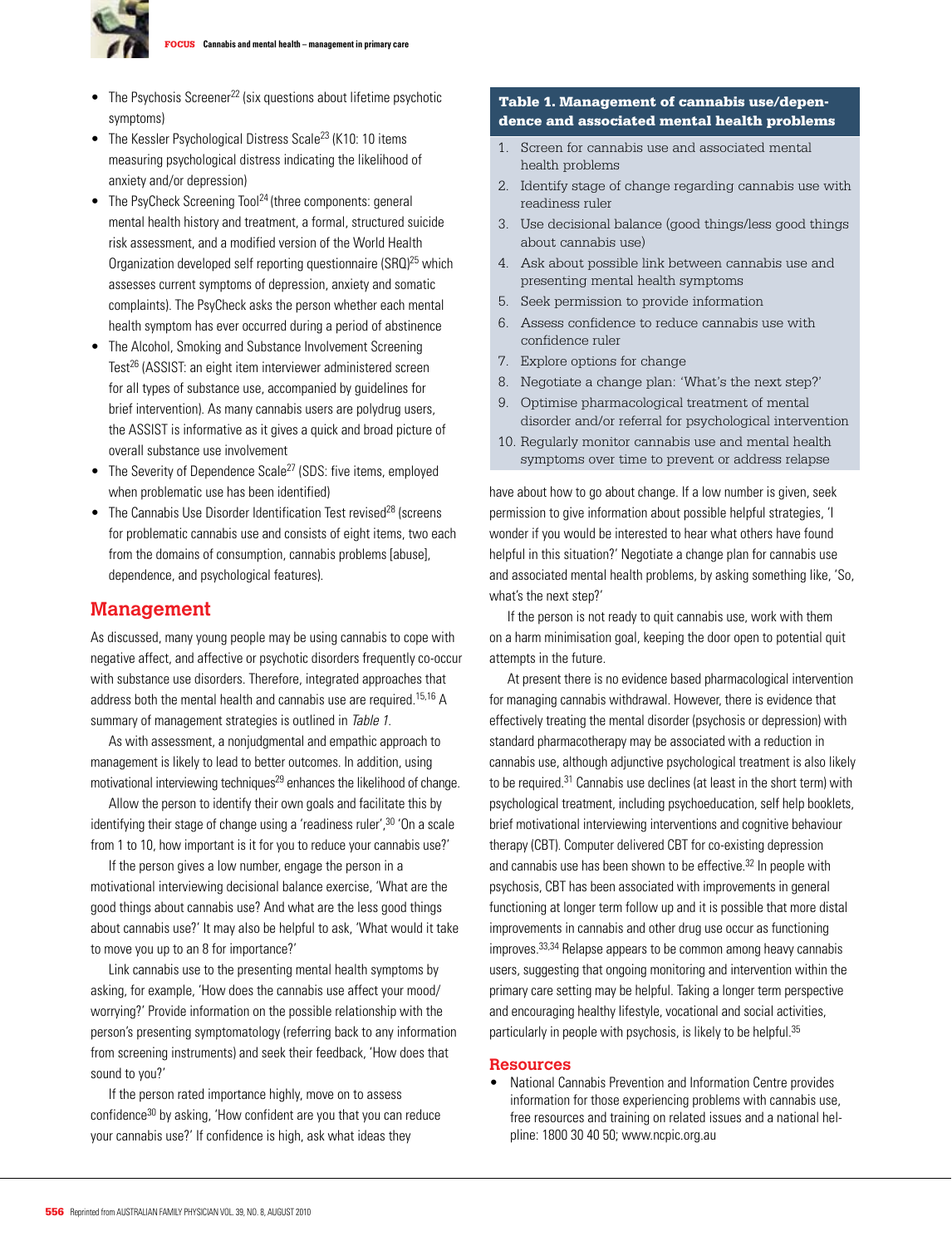

- $\bullet$  The Psychosis Screener<sup>22</sup> (six questions about lifetime psychotic symptoms)
- The Kessler Psychological Distress Scale<sup>23</sup> (K10: 10 items measuring psychological distress indicating the likelihood of anxiety and/or depression)
- The PsyCheck Screening Tool<sup>24</sup> (three components: general mental health history and treatment, a formal, structured suicide risk assessment, and a modified version of the World Health Organization developed self reporting questionnaire (SRQ)25 which assesses current symptoms of depression, anxiety and somatic complaints). The PsyCheck asks the person whether each mental health symptom has ever occurred during a period of abstinence
- The Alcohol, Smoking and Substance Involvement Screening Test<sup>26</sup> (ASSIST: an eight item interviewer administered screen for all types of substance use, accompanied by guidelines for brief intervention). As many cannabis users are polydrug users, the ASSIST is informative as it gives a quick and broad picture of overall substance use involvement
- The Severity of Dependence Scale<sup>27</sup> (SDS: five items, employed when problematic use has been identified)
- The Cannabis Use Disorder Identification Test revised<sup>28</sup> (screens for problematic cannabis use and consists of eight items, two each from the domains of consumption, cannabis problems [abuse], dependence, and psychological features).

#### **Management**

As discussed, many young people may be using cannabis to cope with negative affect, and affective or psychotic disorders frequently co-occur with substance use disorders. Therefore, integrated approaches that address both the mental health and cannabis use are required.<sup>15,16</sup> A summary of management strategies is outlined in Table 1.

As with assessment, a nonjudgmental and empathic approach to management is likely to lead to better outcomes. In addition, using motivational interviewing techniques<sup>29</sup> enhances the likelihood of change.

Allow the person to identify their own goals and facilitate this by identifying their stage of change using a 'readiness ruler',<sup>30</sup> 'On a scale from 1 to 10, how important is it for you to reduce your cannabis use?'

 If the person gives a low number, engage the person in a motivational interviewing decisional balance exercise, 'What are the good things about cannabis use? And what are the less good things about cannabis use?' It may also be helpful to ask, 'What would it take to move you up to an 8 for importance?'

 Link cannabis use to the presenting mental health symptoms by asking, for example, 'How does the cannabis use affect your mood/ worrying?' Provide information on the possible relationship with the person's presenting symptomatology (referring back to any information from screening instruments) and seek their feedback, 'How does that sound to you?'

 If the person rated importance highly, move on to assess confidence30 by asking, 'How confident are you that you can reduce your cannabis use?' If confidence is high, ask what ideas they

#### Table 1. Management of cannabis use/dependence and associated mental health problems

- 1. Screen for cannabis use and associated mental health problems
- 2. Identify stage of change regarding cannabis use with readiness ruler
- 3. Use decisional balance (good things/less good things about cannabis use)
- 4. Ask about possible link between cannabis use and presenting mental health symptoms
- 5. Seek permission to provide information
- 6. Assess confidence to reduce cannabis use with confidence ruler
- 7. Explore options for change
- 8. Negotiate a change plan: 'What's the next step?'
- 9. Optimise pharmacological treatment of mental disorder and/or referral for psychological intervention
- 10. Regularly monitor cannabis use and mental health symptoms over time to prevent or address relapse

have about how to go about change. If a low number is given, seek permission to give information about possible helpful strategies, 'I wonder if you would be interested to hear what others have found helpful in this situation?' Negotiate a change plan for cannabis use and associated mental health problems, by asking something like, 'So, what's the next step?'

 If the person is not ready to quit cannabis use, work with them on a harm minimisation goal, keeping the door open to potential quit attempts in the future.

At present there is no evidence based pharmacological intervention for managing cannabis withdrawal. However, there is evidence that effectively treating the mental disorder (psychosis or depression) with standard pharmacotherapy may be associated with a reduction in cannabis use, although adjunctive psychological treatment is also likely to be required.31 Cannabis use declines (at least in the short term) with psychological treatment, including psychoeducation, self help booklets, brief motivational interviewing interventions and cognitive behaviour therapy (CBT). Computer delivered CBT for co-existing depression and cannabis use has been shown to be effective.<sup>32</sup> In people with psychosis, CBT has been associated with improvements in general functioning at longer term follow up and it is possible that more distal improvements in cannabis and other drug use occur as functioning improves.33,34 Relapse appears to be common among heavy cannabis users, suggesting that ongoing monitoring and intervention within the primary care setting may be helpful. Taking a longer term perspective and encouraging healthy lifestyle, vocational and social activities, particularly in people with psychosis, is likely to be helpful.<sup>35</sup>

#### **Resources**

• National Cannabis Prevention and Information Centre provides information for those experiencing problems with cannabis use, free resources and training on related issues and a national helpline: 1800 30 40 50; www.ncpic.org.au